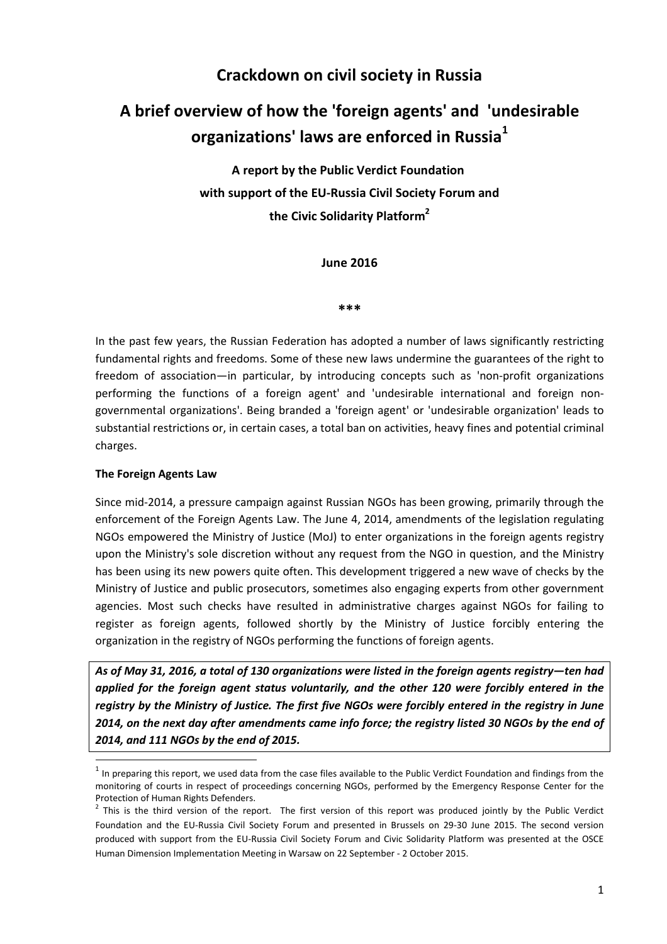# **Crackdown on civil society in Russia**

# **A brief overview of how the 'foreign agents' and 'undesirable organizations' laws are enforced in Russia<sup>1</sup>**

**A report by the Public Verdict Foundation with support of the EU-Russia Civil Society Forum and the Civic Solidarity Platform<sup>2</sup>**

**June 2016** 

**\*\*\*** 

In the past few years, the Russian Federation has adopted a number of laws significantly restricting fundamental rights and freedoms. Some of these new laws undermine the guarantees of the right to freedom of association—in particular, by introducing concepts such as 'non-profit organizations performing the functions of a foreign agent' and 'undesirable international and foreign nongovernmental organizations'. Being branded a 'foreign agent' or 'undesirable organization' leads to substantial restrictions or, in certain cases, a total ban on activities, heavy fines and potential criminal charges.

#### **The Foreign Agents Law**

l

Since mid-2014, a pressure campaign against Russian NGOs has been growing, primarily through the enforcement of the Foreign Agents Law. The June 4, 2014, amendments of the legislation regulating NGOs empowered the Ministry of Justice (MoJ) to enter organizations in the foreign agents registry upon the Ministry's sole discretion without any request from the NGO in question, and the Ministry has been using its new powers quite often. This development triggered a new wave of checks by the Ministry of Justice and public prosecutors, sometimes also engaging experts from other government agencies. Most such checks have resulted in administrative charges against NGOs for failing to register as foreign agents, followed shortly by the Ministry of Justice forcibly entering the organization in the registry of NGOs performing the functions of foreign agents.

*As of May 31, 2016, a total of 130 organizations were listed in the foreign agents registry—ten had applied for the foreign agent status voluntarily, and the other 120 were forcibly entered in the registry by the Ministry of Justice. The first five NGOs were forcibly entered in the registry in June 2014, on the next day after amendments came info force; the registry listed 30 NGOs by the end of 2014, and 111 NGOs by the end of 2015.* 

 $<sup>1</sup>$  In preparing this report, we used data from the case files available to the Public Verdict Foundation and findings from the</sup> monitoring of courts in respect of proceedings concerning NGOs, performed by the Emergency Response Center for the Protection of Human Rights Defenders.

 $2$  This is the third version of the report. The first version of this report was produced jointly by the Public Verdict Foundation and the EU-Russia Civil Society Forum and presented in Brussels on 29-30 June 2015. The second version produced with support from the EU-Russia Civil Society Forum and Civic Solidarity Platform was presented at the OSCE Human Dimension Implementation Meeting in Warsaw on 22 September - 2 October 2015.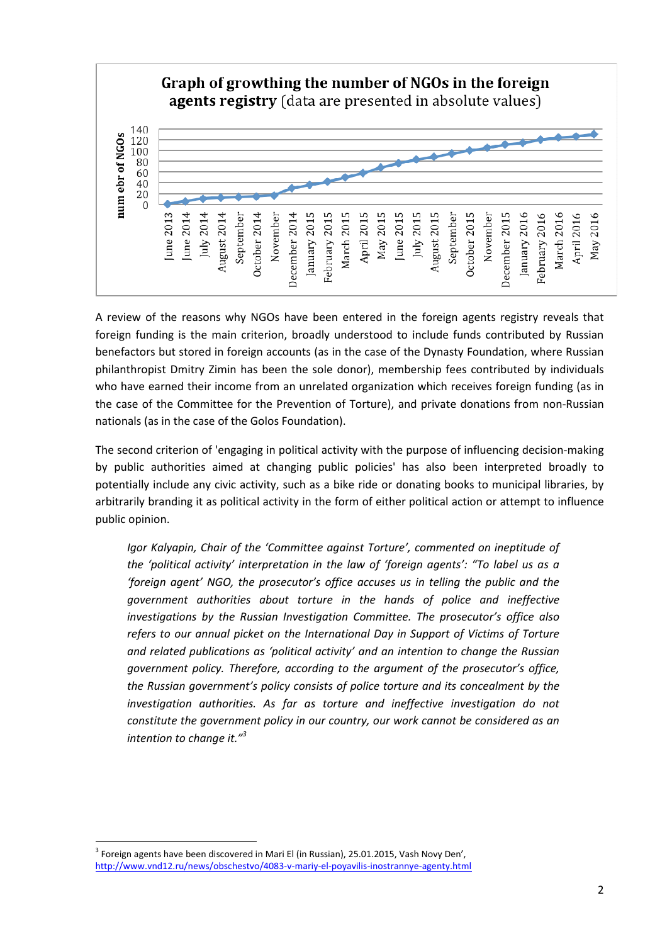

A review of the reasons why NGOs have been entered in the foreign agents registry reveals that foreign funding is the main criterion, broadly understood to include funds contributed by Russian benefactors but stored in foreign accounts (as in the case of the Dynasty Foundation, where Russian philanthropist Dmitry Zimin has been the sole donor), membership fees contributed by individuals who have earned their income from an unrelated organization which receives foreign funding (as in the case of the Committee for the Prevention of Torture), and private donations from non-Russian nationals (as in the case of the Golos Foundation).

The second criterion of 'engaging in political activity with the purpose of influencing decision-making by public authorities aimed at changing public policies' has also been interpreted broadly to potentially include any civic activity, such as a bike ride or donating books to municipal libraries, by arbitrarily branding it as political activity in the form of either political action or attempt to influence public opinion.

*Igor Kalyapin, Chair of the 'Committee against Torture', commented on ineptitude of the 'political activity' interpretation in the law of 'foreign agents': "To label us as a 'foreign agent' NGO, the prosecutor's office accuses us in telling the public and the government authorities about torture in the hands of police and ineffective investigations by the Russian Investigation Committee. The prosecutor's office also refers to our annual picket on the International Day in Support of Victims of Torture and related publications as 'political activity' and an intention to change the Russian government policy. Therefore, according to the argument of the prosecutor's office, the Russian government's policy consists of police torture and its concealment by the*  investigation authorities. As far as torture and ineffective investigation do not *constitute the government policy in our country, our work cannot be considered as an intention to change it."<sup>3</sup>* 

 $^3$  Foreign agents have been discovered in Mari El (in Russian), 25.01.2015, Vash Novy Den', http://www.vnd12.ru/news/obschestvo/4083-v-mariy-el-poyavilis-inostrannye-agenty.html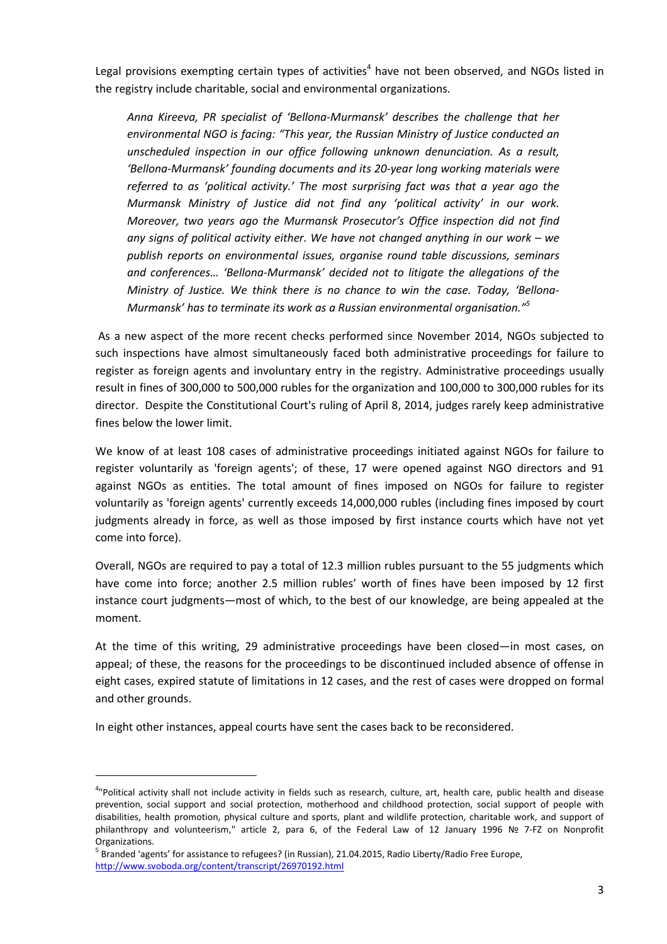Legal provisions exempting certain types of activities<sup>4</sup> have not been observed, and NGOs listed in the registry include charitable, social and environmental organizations.

*Anna Kireeva, PR specialist of 'Bellona-Murmansk' describes the challenge that her environmental NGO is facing: "This year, the Russian Ministry of Justice conducted an unscheduled inspection in our office following unknown denunciation. As a result, 'Bellona-Murmansk' founding documents and its 20-year long working materials were referred to as 'political activity.' The most surprising fact was that a year ago the Murmansk Ministry of Justice did not find any 'political activity' in our work. Moreover, two years ago the Murmansk Prosecutor's Office inspection did not find any signs of political activity either. We have not changed anything in our work – we publish reports on environmental issues, organise round table discussions, seminars and conferences… 'Bellona-Murmansk' decided not to litigate the allegations of the Ministry of Justice. We think there is no chance to win the case. Today, 'Bellona-Murmansk' has to terminate its work as a Russian environmental organisation."<sup>5</sup>*

 As a new aspect of the more recent checks performed since November 2014, NGOs subjected to such inspections have almost simultaneously faced both administrative proceedings for failure to register as foreign agents and involuntary entry in the registry. Administrative proceedings usually result in fines of 300,000 to 500,000 rubles for the organization and 100,000 to 300,000 rubles for its director. Despite the Constitutional Court's ruling of April 8, 2014, judges rarely keep administrative fines below the lower limit.

We know of at least 108 cases of administrative proceedings initiated against NGOs for failure to register voluntarily as 'foreign agents'; of these, 17 were opened against NGO directors and 91 against NGOs as entities. The total amount of fines imposed on NGOs for failure to register voluntarily as 'foreign agents' currently exceeds 14,000,000 rubles (including fines imposed by court judgments already in force, as well as those imposed by first instance courts which have not yet come into force).

Overall, NGOs are required to pay a total of 12.3 million rubles pursuant to the 55 judgments which have come into force; another 2.5 million rubles' worth of fines have been imposed by 12 first instance court judgments—most of which, to the best of our knowledge, are being appealed at the moment.

At the time of this writing, 29 administrative proceedings have been closed—in most cases, on appeal; of these, the reasons for the proceedings to be discontinued included absence of offense in eight cases, expired statute of limitations in 12 cases, and the rest of cases were dropped on formal and other grounds.

In eight other instances, appeal courts have sent the cases back to be reconsidered.

<sup>&</sup>lt;sup>4</sup>"Political activity shall not include activity in fields such as research, culture, art, health care, public health and disease prevention, social support and social protection, motherhood and childhood protection, social support of people with disabilities, health promotion, physical culture and sports, plant and wildlife protection, charitable work, and support of philanthropy and volunteerism," article 2, para 6, of the Federal Law of 12 January 1996 № 7-FZ on Nonprofit Organizations.

<sup>&</sup>lt;sup>5</sup> Branded 'agents' for assistance to refugees? (in Russian), 21.04.2015, Radio Liberty/Radio Free Europe, http://www.svoboda.org/content/transcript/26970192.html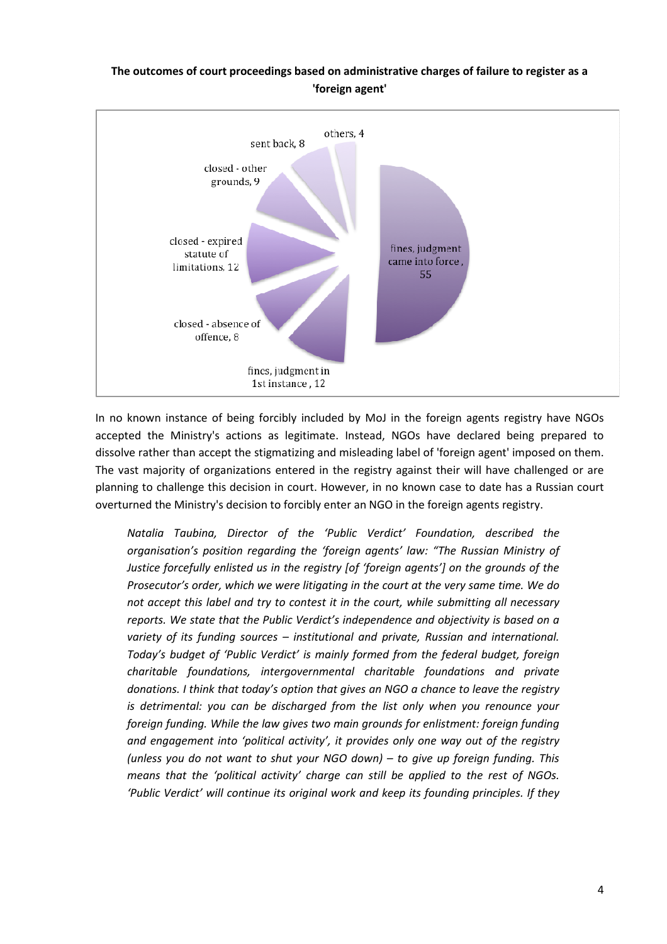### **The outcomes of court proceedings based on administrative charges of failure to register as a 'foreign agent'**



In no known instance of being forcibly included by MoJ in the foreign agents registry have NGOs accepted the Ministry's actions as legitimate. Instead, NGOs have declared being prepared to dissolve rather than accept the stigmatizing and misleading label of 'foreign agent' imposed on them. The vast majority of organizations entered in the registry against their will have challenged or are planning to challenge this decision in court. However, in no known case to date has a Russian court overturned the Ministry's decision to forcibly enter an NGO in the foreign agents registry.

*Natalia Taubina, Director of the 'Public Verdict' Foundation, described the organisation's position regarding the 'foreign agents' law: "The Russian Ministry of Justice forcefully enlisted us in the registry [of 'foreign agents'] on the grounds of the Prosecutor's order, which we were litigating in the court at the very same time. We do not accept this label and try to contest it in the court, while submitting all necessary reports. We state that the Public Verdict's independence and objectivity is based on a variety of its funding sources – institutional and private, Russian and international. Today's budget of 'Public Verdict' is mainly formed from the federal budget, foreign charitable foundations, intergovernmental charitable foundations and private donations. I think that today's option that gives an NGO a chance to leave the registry is detrimental: you can be discharged from the list only when you renounce your foreign funding. While the law gives two main grounds for enlistment: foreign funding and engagement into 'political activity', it provides only one way out of the registry (unless you do not want to shut your NGO down) – to give up foreign funding. This means that the 'political activity' charge can still be applied to the rest of NGOs. 'Public Verdict' will continue its original work and keep its founding principles. If they*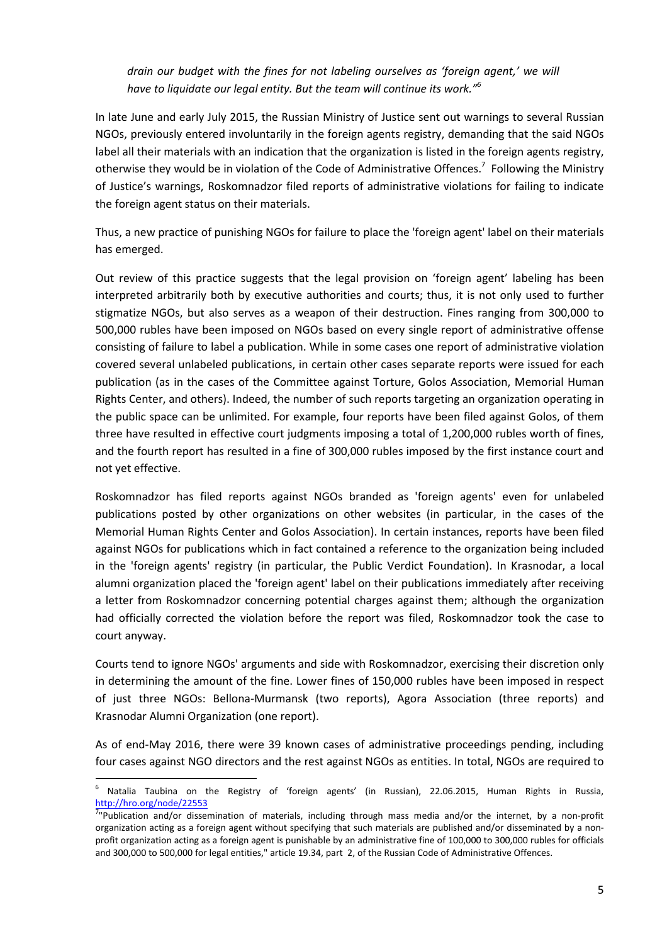*drain our budget with the fines for not labeling ourselves as 'foreign agent,' we will have to liquidate our legal entity. But the team will continue its work."<sup>6</sup>*

In late June and early July 2015, the Russian Ministry of Justice sent out warnings to several Russian NGOs, previously entered involuntarily in the foreign agents registry, demanding that the said NGOs label all their materials with an indication that the organization is listed in the foreign agents registry, otherwise they would be in violation of the Code of Administrative Offences.<sup>7</sup> Following the Ministry of Justice's warnings, Roskomnadzor filed reports of administrative violations for failing to indicate the foreign agent status on their materials.

Thus, a new practice of punishing NGOs for failure to place the 'foreign agent' label on their materials has emerged.

Out review of this practice suggests that the legal provision on 'foreign agent' labeling has been interpreted arbitrarily both by executive authorities and courts; thus, it is not only used to further stigmatize NGOs, but also serves as a weapon of their destruction. Fines ranging from 300,000 to 500,000 rubles have been imposed on NGOs based on every single report of administrative offense consisting of failure to label a publication. While in some cases one report of administrative violation covered several unlabeled publications, in certain other cases separate reports were issued for each publication (as in the cases of the Committee against Torture, Golos Association, Memorial Human Rights Center, and others). Indeed, the number of such reports targeting an organization operating in the public space can be unlimited. For example, four reports have been filed against Golos, of them three have resulted in effective court judgments imposing a total of 1,200,000 rubles worth of fines, and the fourth report has resulted in a fine of 300,000 rubles imposed by the first instance court and not yet effective.

Roskomnadzor has filed reports against NGOs branded as 'foreign agents' even for unlabeled publications posted by other organizations on other websites (in particular, in the cases of the Memorial Human Rights Center and Golos Association). In certain instances, reports have been filed against NGOs for publications which in fact contained a reference to the organization being included in the 'foreign agents' registry (in particular, the Public Verdict Foundation). In Krasnodar, a local alumni organization placed the 'foreign agent' label on their publications immediately after receiving a letter from Roskomnadzor concerning potential charges against them; although the organization had officially corrected the violation before the report was filed, Roskomnadzor took the case to court anyway.

Courts tend to ignore NGOs' arguments and side with Roskomnadzor, exercising their discretion only in determining the amount of the fine. Lower fines of 150,000 rubles have been imposed in respect of just three NGOs: Bellona-Murmansk (two reports), Agora Association (three reports) and Krasnodar Alumni Organization (one report).

As of end-May 2016, there were 39 known cases of administrative proceedings pending, including four cases against NGO directors and the rest against NGOs as entities. In total, NGOs are required to

<sup>&</sup>lt;sup>6</sup> Natalia Taubina on the Registry of 'foreign agents' (in Russian), 22.06.2015, Human Rights in Russia, http://hro.org/node/22553

<sup>&</sup>lt;sup>7</sup>"Publication and/or dissemination of materials, including through mass media and/or the internet, by a non-profit organization acting as a foreign agent without specifying that such materials are published and/or disseminated by a nonprofit organization acting as a foreign agent is punishable by an administrative fine of 100,000 to 300,000 rubles for officials and 300,000 to 500,000 for legal entities," article 19.34, part 2, of the Russian Code of Administrative Offences.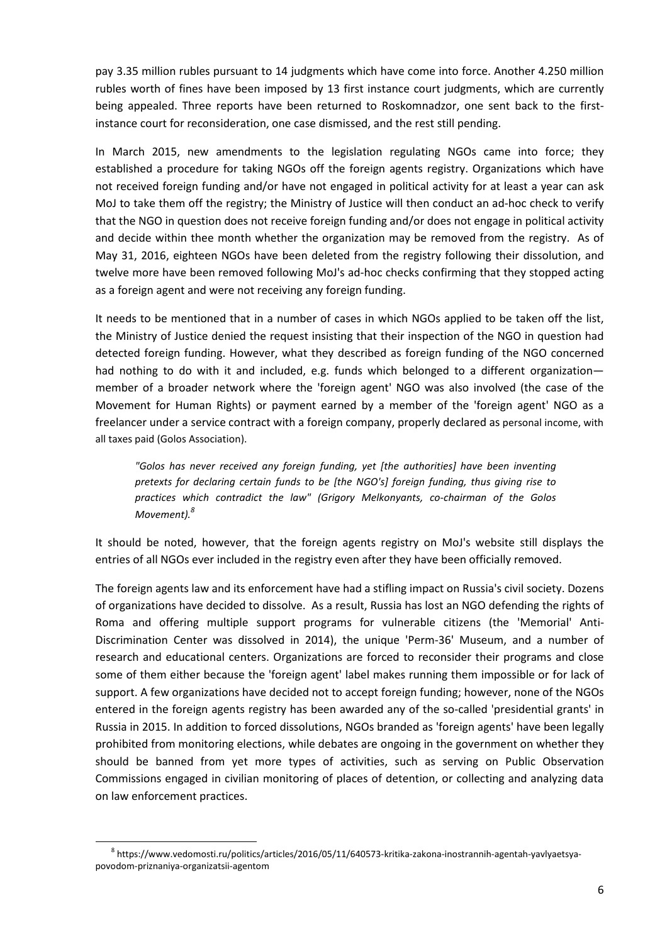pay 3.35 million rubles pursuant to 14 judgments which have come into force. Another 4.250 million rubles worth of fines have been imposed by 13 first instance court judgments, which are currently being appealed. Three reports have been returned to Roskomnadzor, one sent back to the firstinstance court for reconsideration, one case dismissed, and the rest still pending.

In March 2015, new amendments to the legislation regulating NGOs came into force; they established a procedure for taking NGOs off the foreign agents registry. Organizations which have not received foreign funding and/or have not engaged in political activity for at least a year can ask MoJ to take them off the registry; the Ministry of Justice will then conduct an ad-hoc check to verify that the NGO in question does not receive foreign funding and/or does not engage in political activity and decide within thee month whether the organization may be removed from the registry. As of May 31, 2016, eighteen NGOs have been deleted from the registry following their dissolution, and twelve more have been removed following MoJ's ad-hoc checks confirming that they stopped acting as a foreign agent and were not receiving any foreign funding.

It needs to be mentioned that in a number of cases in which NGOs applied to be taken off the list, the Ministry of Justice denied the request insisting that their inspection of the NGO in question had detected foreign funding. However, what they described as foreign funding of the NGO concerned had nothing to do with it and included, e.g. funds which belonged to a different organizationmember of a broader network where the 'foreign agent' NGO was also involved (the case of the Movement for Human Rights) or payment earned by a member of the 'foreign agent' NGO as a freelancer under a service contract with a foreign company, properly declared as personal income, with all taxes paid (Golos Association).

*"Golos has never received any foreign funding, yet [the authorities] have been inventing pretexts for declaring certain funds to be [the NGO's] foreign funding, thus giving rise to practices which contradict the law" (Grigory Melkonyants, co-chairman of the Golos Movement).<sup>8</sup>*

It should be noted, however, that the foreign agents registry on MoJ's website still displays the entries of all NGOs ever included in the registry even after they have been officially removed.

The foreign agents law and its enforcement have had a stifling impact on Russia's civil society. Dozens of organizations have decided to dissolve. As a result, Russia has lost an NGO defending the rights of Roma and offering multiple support programs for vulnerable citizens (the 'Memorial' Anti-Discrimination Center was dissolved in 2014), the unique 'Perm-36' Museum, and a number of research and educational centers. Organizations are forced to reconsider their programs and close some of them either because the 'foreign agent' label makes running them impossible or for lack of support. A few organizations have decided not to accept foreign funding; however, none of the NGOs entered in the foreign agents registry has been awarded any of the so-called 'presidential grants' in Russia in 2015. In addition to forced dissolutions, NGOs branded as 'foreign agents' have been legally prohibited from monitoring elections, while debates are ongoing in the government on whether they should be banned from yet more types of activities, such as serving on Public Observation Commissions engaged in civilian monitoring of places of detention, or collecting and analyzing data on law enforcement practices.

<sup>&</sup>lt;sup>8</sup> https://www.vedomosti.ru/politics/articles/2016/05/11/640573-kritika-zakona-inostrannih-agentah-yavlyaetsyapovodom-priznaniya-organizatsii-agentom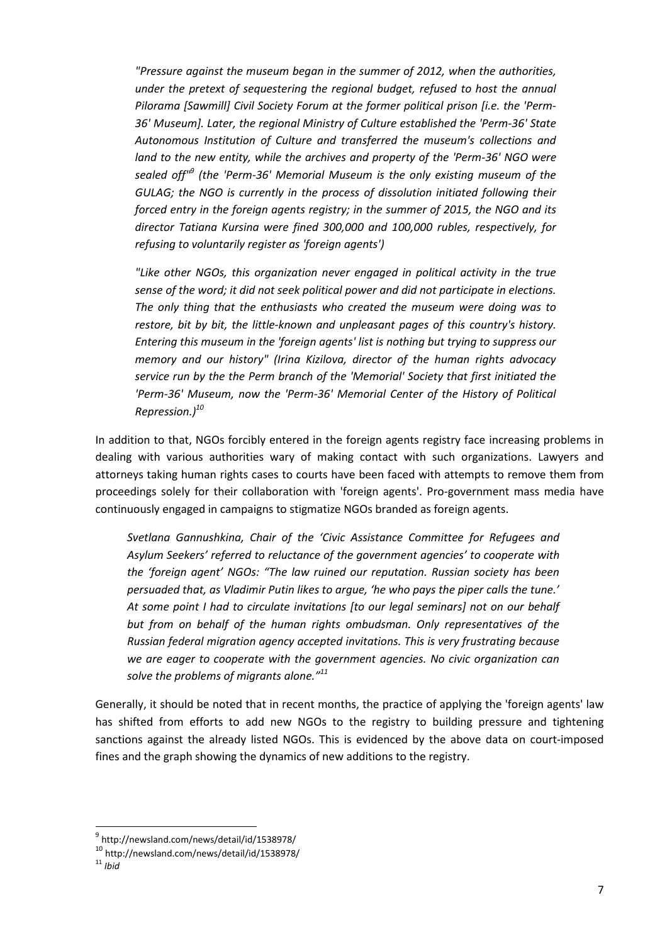*"Pressure against the museum began in the summer of 2012, when the authorities, under the pretext of sequestering the regional budget, refused to host the annual Pilorama [Sawmill] Civil Society Forum at the former political prison [i.e. the 'Perm-36' Museum]. Later, the regional Ministry of Culture established the 'Perm-36' State Autonomous Institution of Culture and transferred the museum's collections and land to the new entity, while the archives and property of the 'Perm-36' NGO were sealed off"<sup>9</sup> (the 'Perm-36' Memorial Museum is the only existing museum of the GULAG; the NGO is currently in the process of dissolution initiated following their forced entry in the foreign agents registry; in the summer of 2015, the NGO and its director Tatiana Kursina were fined 300,000 and 100,000 rubles, respectively, for refusing to voluntarily register as 'foreign agents')* 

*"Like other NGOs, this organization never engaged in political activity in the true sense of the word; it did not seek political power and did not participate in elections. The only thing that the enthusiasts who created the museum were doing was to restore, bit by bit, the little-known and unpleasant pages of this country's history. Entering this museum in the 'foreign agents' list is nothing but trying to suppress our memory and our history" (Irina Kizilova, director of the human rights advocacy service run by the the Perm branch of the 'Memorial' Society that first initiated the 'Perm-36' Museum, now the 'Perm-36' Memorial Center of the History of Political Repression.)<sup>10</sup>*

In addition to that, NGOs forcibly entered in the foreign agents registry face increasing problems in dealing with various authorities wary of making contact with such organizations. Lawyers and attorneys taking human rights cases to courts have been faced with attempts to remove them from proceedings solely for their collaboration with 'foreign agents'. Pro-government mass media have continuously engaged in campaigns to stigmatize NGOs branded as foreign agents.

*Svetlana Gannushkina, Chair of the 'Civic Assistance Committee for Refugees and Asylum Seekers' referred to reluctance of the government agencies' to cooperate with the 'foreign agent' NGOs: "The law ruined our reputation. Russian society has been persuaded that, as Vladimir Putin likes to argue, 'he who pays the piper calls the tune.' At some point I had to circulate invitations [to our legal seminars] not on our behalf but from on behalf of the human rights ombudsman. Only representatives of the Russian federal migration agency accepted invitations. This is very frustrating because we are eager to cooperate with the government agencies. No civic organization can solve the problems of migrants alone."<sup>11</sup>*

Generally, it should be noted that in recent months, the practice of applying the 'foreign agents' law has shifted from efforts to add new NGOs to the registry to building pressure and tightening sanctions against the already listed NGOs. This is evidenced by the above data on court-imposed fines and the graph showing the dynamics of new additions to the registry.

<sup>9</sup> http://newsland.com/news/detail/id/1538978/

<sup>10</sup> http://newsland.com/news/detail/id/1538978/

 $11$  *Ibid*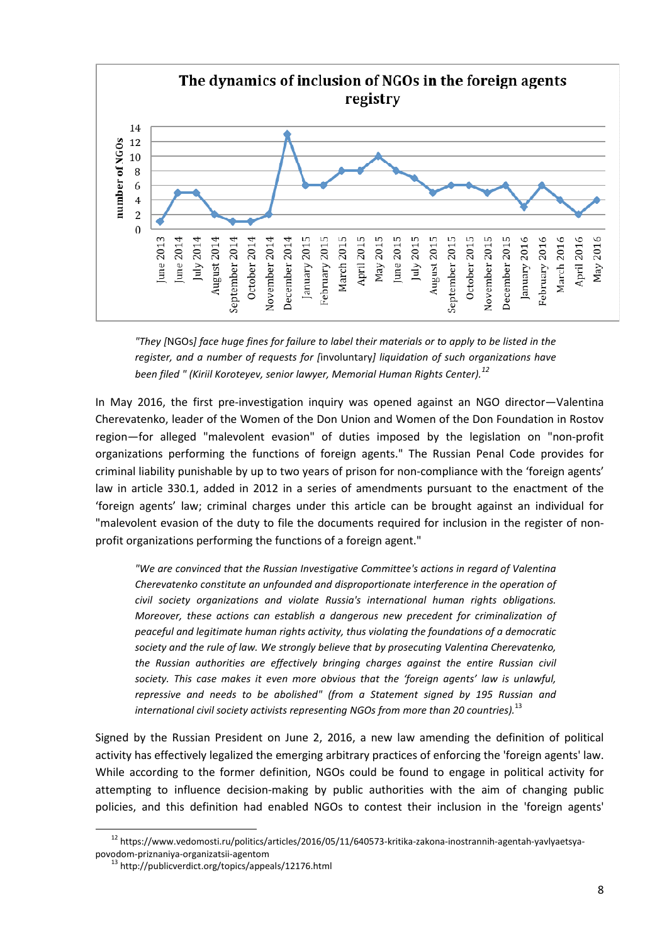

*<sup>&</sup>quot;They [*NGOs*] face huge fines for failure to label their materials or to apply to be listed in the register, and a number of requests for [*involuntary*] liquidation of such organizations have been filed " (Kiriil Koroteyev, senior lawyer, Memorial Human Rights Center).<sup>12</sup>*

In May 2016, the first pre-investigation inquiry was opened against an NGO director—Valentina Cherevatenko, leader of the Women of the Don Union and Women of the Don Foundation in Rostov region—for alleged "malevolent evasion" of duties imposed by the legislation on "non-profit organizations performing the functions of foreign agents." The Russian Penal Code provides for criminal liability punishable by up to two years of prison for non-compliance with the 'foreign agents' law in article 330.1, added in 2012 in a series of amendments pursuant to the enactment of the 'foreign agents' law; criminal charges under this article can be brought against an individual for "malevolent evasion of the duty to file the documents required for inclusion in the register of nonprofit organizations performing the functions of a foreign agent."

*"We are convinced that the Russian Investigative Committee's actions in regard of Valentina Cherevatenko constitute an unfounded and disproportionate interference in the operation of civil society organizations and violate Russia's international human rights obligations. Moreover, these actions can establish a dangerous new precedent for criminalization of peaceful and legitimate human rights activity, thus violating the foundations of a democratic society and the rule of law. We strongly believe that by prosecuting Valentina Cherevatenko, the Russian authorities are effectively bringing charges against the entire Russian civil society. This case makes it even more obvious that the 'foreign agents' law is unlawful, repressive and needs to be abolished" (from a Statement signed by 195 Russian and international civil society activists representing NGOs from more than 20 countries).*<sup>13</sup>

Signed by the Russian President on June 2, 2016, a new law amending the definition of political activity has effectively legalized the emerging arbitrary practices of enforcing the 'foreign agents' law. While according to the former definition, NGOs could be found to engage in political activity for attempting to influence decision-making by public authorities with the aim of changing public policies, and this definition had enabled NGOs to contest their inclusion in the 'foreign agents'

 $\overline{\phantom{a}}$ 

<sup>12</sup> https://www.vedomosti.ru/politics/articles/2016/05/11/640573-kritika-zakona-inostrannih-agentah-yavlyaetsyapovodom-priznaniya-organizatsii-agentom

<sup>&</sup>lt;sup>13</sup> http://publicverdict.org/topics/appeals/12176.html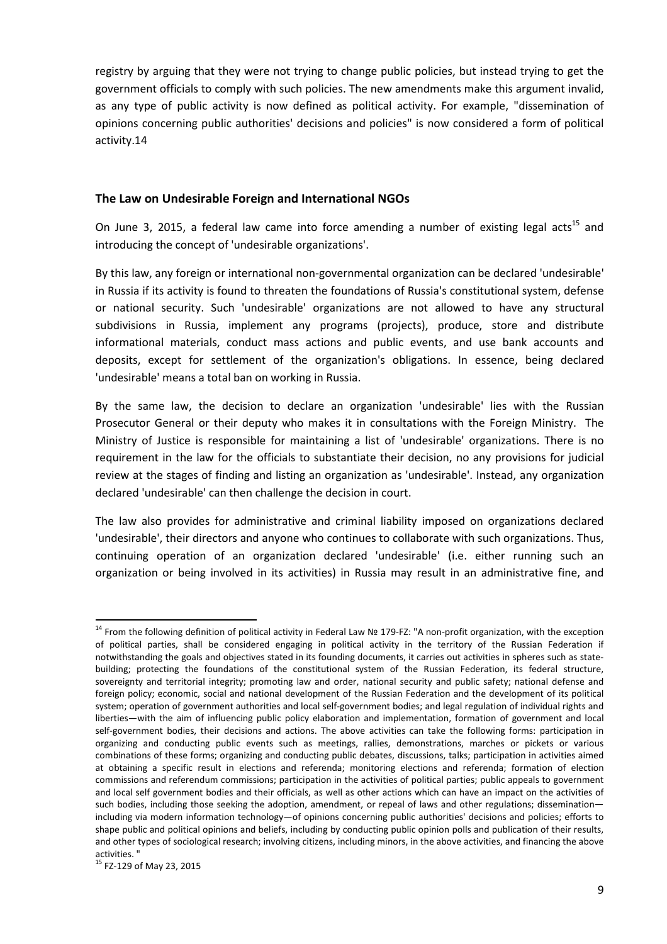registry by arguing that they were not trying to change public policies, but instead trying to get the government officials to comply with such policies. The new amendments make this argument invalid, as any type of public activity is now defined as political activity. For example, "dissemination of opinions concerning public authorities' decisions and policies" is now considered a form of political activity.14

#### **The Law on Undesirable Foreign and International NGOs**

On June 3, 2015, a federal law came into force amending a number of existing legal acts<sup>15</sup> and introducing the concept of 'undesirable organizations'.

By this law, any foreign or international non-governmental organization can be declared 'undesirable' in Russia if its activity is found to threaten the foundations of Russia's constitutional system, defense or national security. Such 'undesirable' organizations are not allowed to have any structural subdivisions in Russia, implement any programs (projects), produce, store and distribute informational materials, conduct mass actions and public events, and use bank accounts and deposits, except for settlement of the organization's obligations. In essence, being declared 'undesirable' means a total ban on working in Russia.

By the same law, the decision to declare an organization 'undesirable' lies with the Russian Prosecutor General or their deputy who makes it in consultations with the Foreign Ministry. The Ministry of Justice is responsible for maintaining a list of 'undesirable' organizations. There is no requirement in the law for the officials to substantiate their decision, no any provisions for judicial review at the stages of finding and listing an organization as 'undesirable'. Instead, any organization declared 'undesirable' can then challenge the decision in court.

The law also provides for administrative and criminal liability imposed on organizations declared 'undesirable', their directors and anyone who continues to collaborate with such organizations. Thus, continuing operation of an organization declared 'undesirable' (i.e. either running such an organization or being involved in its activities) in Russia may result in an administrative fine, and

<sup>14</sup> From the following definition of political activity in Federal Law № 179-FZ: "A non-profit organization, with the exception of political parties, shall be considered engaging in political activity in the territory of the Russian Federation if notwithstanding the goals and objectives stated in its founding documents, it carries out activities in spheres such as statebuilding; protecting the foundations of the constitutional system of the Russian Federation, its federal structure, sovereignty and territorial integrity; promoting law and order, national security and public safety; national defense and foreign policy; economic, social and national development of the Russian Federation and the development of its political system; operation of government authorities and local self-government bodies; and legal regulation of individual rights and liberties—with the aim of influencing public policy elaboration and implementation, formation of government and local self-government bodies, their decisions and actions. The above activities can take the following forms: participation in organizing and conducting public events such as meetings, rallies, demonstrations, marches or pickets or various combinations of these forms; organizing and conducting public debates, discussions, talks; participation in activities aimed at obtaining a specific result in elections and referenda; monitoring elections and referenda; formation of election commissions and referendum commissions; participation in the activities of political parties; public appeals to government and local self government bodies and their officials, as well as other actions which can have an impact on the activities of such bodies, including those seeking the adoption, amendment, or repeal of laws and other regulations; disseminationincluding via modern information technology—of opinions concerning public authorities' decisions and policies; efforts to shape public and political opinions and beliefs, including by conducting public opinion polls and publication of their results, and other types of sociological research; involving citizens, including minors, in the above activities, and financing the above activities. "

<sup>&</sup>lt;sup>15</sup> FZ-129 of May 23, 2015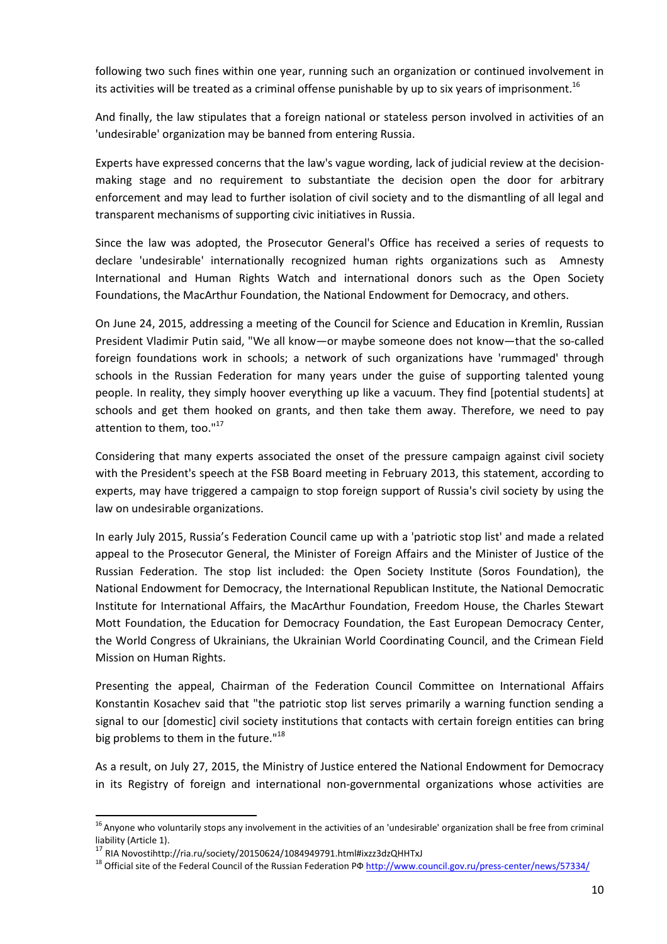following two such fines within one year, running such an organization or continued involvement in its activities will be treated as a criminal offense punishable by up to six years of imprisonment.<sup>16</sup>

And finally, the law stipulates that a foreign national or stateless person involved in activities of an 'undesirable' organization may be banned from entering Russia.

Experts have expressed concerns that the law's vague wording, lack of judicial review at the decisionmaking stage and no requirement to substantiate the decision open the door for arbitrary enforcement and may lead to further isolation of civil society and to the dismantling of all legal and transparent mechanisms of supporting civic initiatives in Russia.

Since the law was adopted, the Prosecutor General's Office has received a series of requests to declare 'undesirable' internationally recognized human rights organizations such as Amnesty International and Human Rights Watch and international donors such as the Open Society Foundations, the MacArthur Foundation, the National Endowment for Democracy, and others.

On June 24, 2015, addressing a meeting of the Council for Science and Education in Kremlin, Russian President Vladimir Putin said, "We all know—or maybe someone does not know—that the so-called foreign foundations work in schools; a network of such organizations have 'rummaged' through schools in the Russian Federation for many years under the guise of supporting talented young people. In reality, they simply hoover everything up like a vacuum. They find [potential students] at schools and get them hooked on grants, and then take them away. Therefore, we need to pay attention to them, too."<sup>17</sup>

Considering that many experts associated the onset of the pressure campaign against civil society with the President's speech at the FSB Board meeting in February 2013, this statement, according to experts, may have triggered a campaign to stop foreign support of Russia's civil society by using the law on undesirable organizations.

In early July 2015, Russia's Federation Council came up with a 'patriotic stop list' and made a related appeal to the Prosecutor General, the Minister of Foreign Affairs and the Minister of Justice of the Russian Federation. The stop list included: the Open Society Institute (Soros Foundation), the National Endowment for Democracy, the International Republican Institute, the National Democratic Institute for International Affairs, the MacArthur Foundation, Freedom House, the Charles Stewart Mott Foundation, the Education for Democracy Foundation, the East European Democracy Center, the World Congress of Ukrainians, the Ukrainian World Coordinating Council, and the Crimean Field Mission on Human Rights.

Presenting the appeal, Chairman of the Federation Council Committee on International Affairs Konstantin Kosachev said that "the patriotic stop list serves primarily a warning function sending a signal to our [domestic] civil society institutions that contacts with certain foreign entities can bring big problems to them in the future."<sup>18</sup>

As a result, on July 27, 2015, the Ministry of Justice entered the National Endowment for Democracy in its Registry of foreign and international non-governmental organizations whose activities are

<sup>&</sup>lt;sup>16</sup> Anyone who voluntarily stops any involvement in the activities of an 'undesirable' organization shall be free from criminal liability (Article 1).

<sup>17</sup> RIA Novostihttp://ria.ru/society/20150624/1084949791.html#ixzz3dzQHHTxJ

<sup>&</sup>lt;sup>18</sup> Official site of the Federal Council of the Russian Federation ΡΦ http://www.council.gov.ru/press-center/news/57334/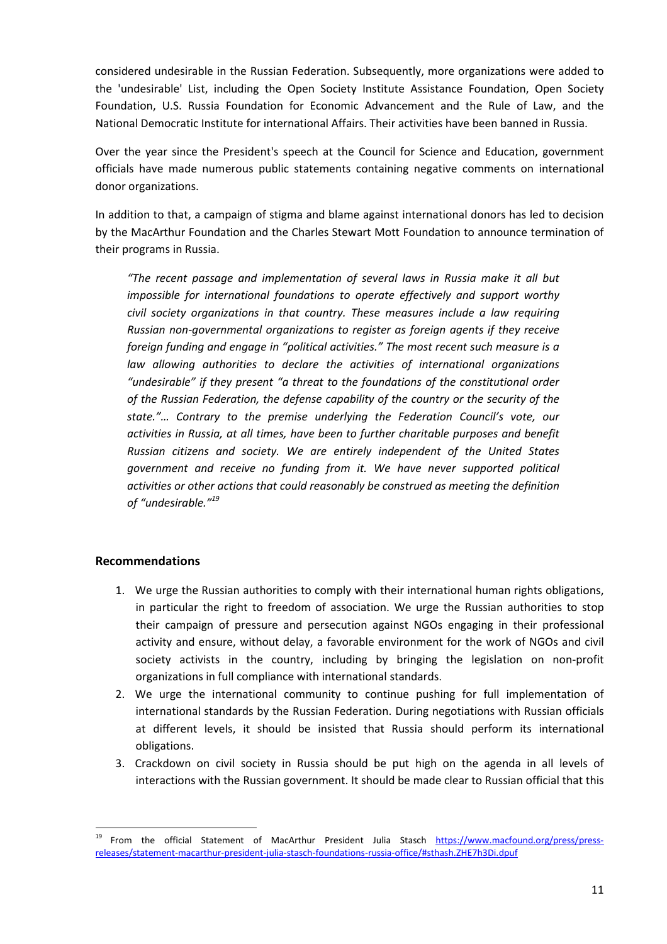considered undesirable in the Russian Federation. Subsequently, more organizations were added to the 'undesirable' List, including the Open Society Institute Assistance Foundation, Open Society Foundation, U.S. Russia Foundation for Economic Advancement and the Rule of Law, and the National Democratic Institute for international Affairs. Their activities have been banned in Russia.

Over the year since the President's speech at the Council for Science and Education, government officials have made numerous public statements containing negative comments on international donor organizations.

In addition to that, a campaign of stigma and blame against international donors has led to decision by the MacArthur Foundation and the Charles Stewart Mott Foundation to announce termination of their programs in Russia.

*"The recent passage and implementation of several laws in Russia make it all but impossible for international foundations to operate effectively and support worthy civil society organizations in that country. These measures include a law requiring Russian non-governmental organizations to register as foreign agents if they receive foreign funding and engage in "political activities." The most recent such measure is a law allowing authorities to declare the activities of international organizations "undesirable" if they present "a threat to the foundations of the constitutional order of the Russian Federation, the defense capability of the country or the security of the state."… Contrary to the premise underlying the Federation Council's vote, our activities in Russia, at all times, have been to further charitable purposes and benefit Russian citizens and society. We are entirely independent of the United States government and receive no funding from it. We have never supported political activities or other actions that could reasonably be construed as meeting the definition of "undesirable."<sup>19</sup>*

## **Recommendations**

- 1. We urge the Russian authorities to comply with their international human rights obligations, in particular the right to freedom of association. We urge the Russian authorities to stop their campaign of pressure and persecution against NGOs engaging in their professional activity and ensure, without delay, a favorable environment for the work of NGOs and civil society activists in the country, including by bringing the legislation on non-profit organizations in full compliance with international standards.
- 2. We urge the international community to continue pushing for full implementation of international standards by the Russian Federation. During negotiations with Russian officials at different levels, it should be insisted that Russia should perform its international obligations.
- 3. Crackdown on civil society in Russia should be put high on the agenda in all levels of interactions with the Russian government. It should be made clear to Russian official that this

<sup>&</sup>lt;sup>19</sup> From the official Statement of MacArthur President Julia Stasch https://www.macfound.org/press/pressreleases/statement-macarthur-president-julia-stasch-foundations-russia-office/#sthash.ZHE7h3Di.dpuf